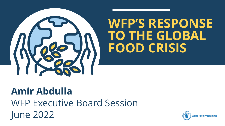

# **WFP'S RESPONSE TO THE GLOBAL FOOD CRISIS**

# **Amir Abdulla** WFP Executive Board Session June 2022

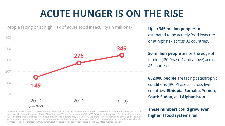# **ACUTE HUNGER IS ON THE RISE**



\*Based on countries with WFP presence and where data is available, based on most recent assessment data and projections for 2022 (or latest available) from Integrated Phase Classification (IPC), Cadre Harmonisé (CH), WFP Consolidated Approach for Reporting Indicators (CARI) or comparable analyses for 63 countries, available before May 31. Only IPC/CH exercises with population coverage of above 50 percent were considered, expected peak-numbers for 2022 (or latest available) are used. For countries without recent data available, the estimate relies on estimates of COVID-19's impact on acute food security conducted in June 2020 (see [methods](https://docs.wfp.org/api/documents/WFP-0000117474/download/) paper).

Up to **345 million people\*** are estimated to be acutely food insecure or at high risk across 82 countries**.**

**50 million people** are on the edge of famine (IPC Phase 4 and above) across 45 countries.

**882,000 people** are facing catastrophic conditions (IPC Phase 5) across five countries: **Ethiopia, Somalia, Yemen, South Sudan**, and **Afghanistan.**

**These numbers could grow even higher if food systems fail.**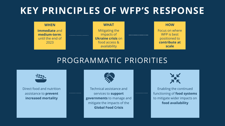## **KEY PRINCIPLES OF WFP'S RESPONSE**



## PROGRAMMATIC PRIORITIES



Direct food and nutrition assistance to **prevent increased mortality**

----------



----------

Technical assistance and services to **support governments** to manage and mitigate the impacts of the **Global Food Crisis**

Enabling the continued functioning of **food systems**  to mitigate wider impacts on **food availability**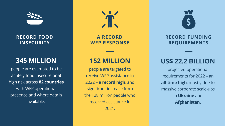

**RECORD FOOD INSECURITY**

#### **345 MILLION**

people are estimated to be acutely food insecure or at high risk across **82 countries**  with WFP operational presence and where data is available.



**A RECORD WFP RESPONSE**

### **152 MILLION**

people are targeted to receive WFP assistance in 2022 – **a record high**, and significant increase from the 128 million people who received assistance in

2021.



**RECORD FUNDING REQUIREMENTS**

### **US\$ 22.2 BILLION**

projected operational requirements for 2022 – an **all-time high**, mostly due to massive corporate scale-ups in **Ukraine** and **Afghanistan.**